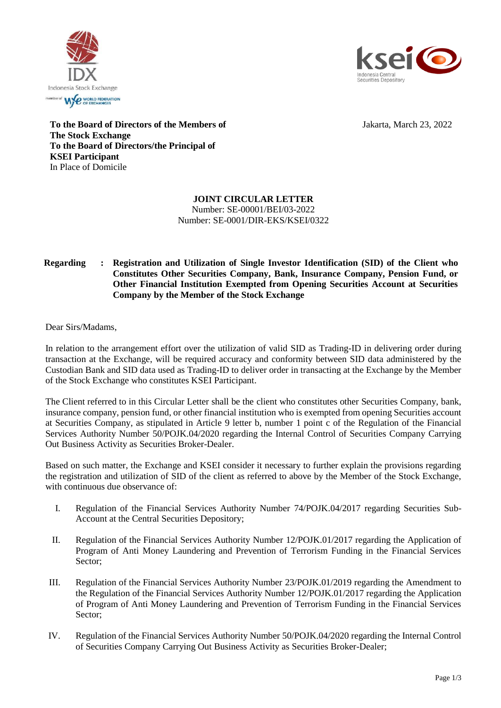



Jakarta, March 23, 2022

**To the Board of Directors of the Members of The Stock Exchange To the Board of Directors/the Principal of KSEI Participant** In Place of Domicile

## **JOINT CIRCULAR LETTER** Number: SE-00001/BEI/03-2022 Number: SE-0001/DIR-EKS/KSEI/0322

## **Regarding : Registration and Utilization of Single Investor Identification (SID) of the Client who Constitutes Other Securities Company, Bank, Insurance Company, Pension Fund, or Other Financial Institution Exempted from Opening Securities Account at Securities Company by the Member of the Stock Exchange**

Dear Sirs/Madams,

In relation to the arrangement effort over the utilization of valid SID as Trading-ID in delivering order during transaction at the Exchange, will be required accuracy and conformity between SID data administered by the Custodian Bank and SID data used as Trading-ID to deliver order in transacting at the Exchange by the Member of the Stock Exchange who constitutes KSEI Participant.

The Client referred to in this Circular Letter shall be the client who constitutes other Securities Company, bank, insurance company, pension fund, or other financial institution who is exempted from opening Securities account at Securities Company, as stipulated in Article 9 letter b, number 1 point c of the Regulation of the Financial Services Authority Number 50/POJK.04/2020 regarding the Internal Control of Securities Company Carrying Out Business Activity as Securities Broker-Dealer.

Based on such matter, the Exchange and KSEI consider it necessary to further explain the provisions regarding the registration and utilization of SID of the client as referred to above by the Member of the Stock Exchange, with continuous due observance of

- I. Regulation of the Financial Services Authority Number 74/POJK.04/2017 regarding Securities Sub-Account at the Central Securities Depository;
- II. Regulation of the Financial Services Authority Number 12/POJK.01/2017 regarding the Application of Program of Anti Money Laundering and Prevention of Terrorism Funding in the Financial Services Sector;
- III. Regulation of the Financial Services Authority Number 23/POJK.01/2019 regarding the Amendment to the Regulation of the Financial Services Authority Number 12/POJK.01/2017 regarding the Application of Program of Anti Money Laundering and Prevention of Terrorism Funding in the Financial Services Sector;
- IV. Regulation of the Financial Services Authority Number 50/POJK.04/2020 regarding the Internal Control of Securities Company Carrying Out Business Activity as Securities Broker-Dealer;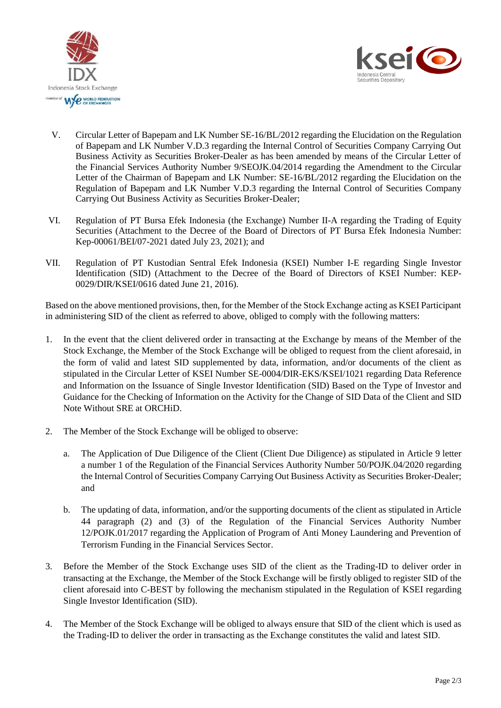



- V. Circular Letter of Bapepam and LK Number SE-16/BL/2012 regarding the Elucidation on the Regulation of Bapepam and LK Number V.D.3 regarding the Internal Control of Securities Company Carrying Out Business Activity as Securities Broker-Dealer as has been amended by means of the Circular Letter of the Financial Services Authority Number 9/SEOJK.04/2014 regarding the Amendment to the Circular Letter of the Chairman of Bapepam and LK Number: SE-16/BL/2012 regarding the Elucidation on the Regulation of Bapepam and LK Number V.D.3 regarding the Internal Control of Securities Company Carrying Out Business Activity as Securities Broker-Dealer;
- VI. Regulation of PT Bursa Efek Indonesia (the Exchange) Number II-A regarding the Trading of Equity Securities (Attachment to the Decree of the Board of Directors of PT Bursa Efek Indonesia Number: Kep-00061/BEI/07-2021 dated July 23, 2021); and
- VII. Regulation of PT Kustodian Sentral Efek Indonesia (KSEI) Number I-E regarding Single Investor Identification (SID) (Attachment to the Decree of the Board of Directors of KSEI Number: KEP-0029/DIR/KSEI/0616 dated June 21, 2016).

Based on the above mentioned provisions, then, for the Member of the Stock Exchange acting as KSEI Participant in administering SID of the client as referred to above, obliged to comply with the following matters:

- 1. In the event that the client delivered order in transacting at the Exchange by means of the Member of the Stock Exchange, the Member of the Stock Exchange will be obliged to request from the client aforesaid, in the form of valid and latest SID supplemented by data, information, and/or documents of the client as stipulated in the Circular Letter of KSEI Number SE-0004/DIR-EKS/KSEI/1021 regarding Data Reference and Information on the Issuance of Single Investor Identification (SID) Based on the Type of Investor and Guidance for the Checking of Information on the Activity for the Change of SID Data of the Client and SID Note Without SRE at ORCHiD.
- 2. The Member of the Stock Exchange will be obliged to observe:
	- a. The Application of Due Diligence of the Client (Client Due Diligence) as stipulated in Article 9 letter a number 1 of the Regulation of the Financial Services Authority Number 50/POJK.04/2020 regarding the Internal Control of Securities Company Carrying Out Business Activity as Securities Broker-Dealer; and
	- b. The updating of data, information, and/or the supporting documents of the client as stipulated in Article 44 paragraph (2) and (3) of the Regulation of the Financial Services Authority Number 12/POJK.01/2017 regarding the Application of Program of Anti Money Laundering and Prevention of Terrorism Funding in the Financial Services Sector.
- 3. Before the Member of the Stock Exchange uses SID of the client as the Trading-ID to deliver order in transacting at the Exchange, the Member of the Stock Exchange will be firstly obliged to register SID of the client aforesaid into C-BEST by following the mechanism stipulated in the Regulation of KSEI regarding Single Investor Identification (SID).
- 4. The Member of the Stock Exchange will be obliged to always ensure that SID of the client which is used as the Trading-ID to deliver the order in transacting as the Exchange constitutes the valid and latest SID.